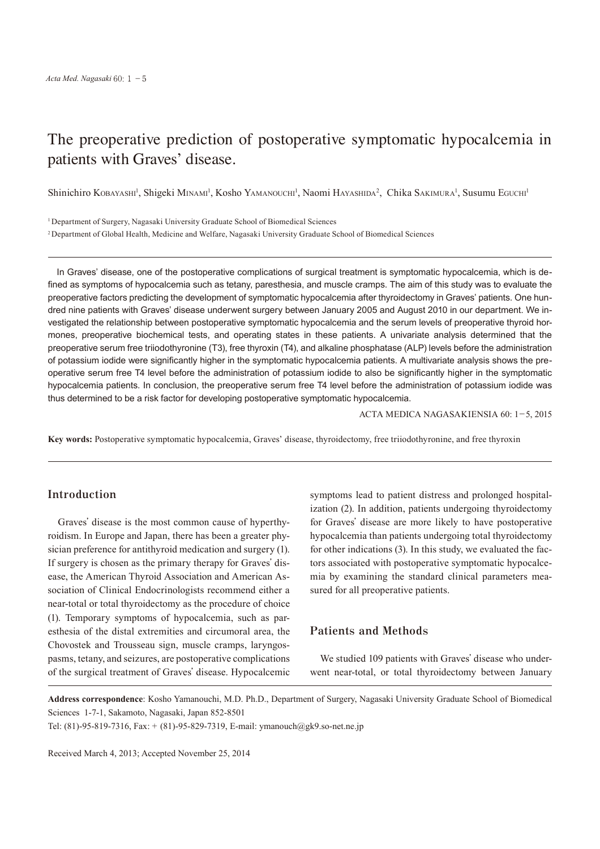# The preoperative prediction of postoperative symptomatic hypocalcemia in patients with Graves' disease.

Shinichiro Kobayashi<sup>1</sup>, Shigeki Minami<sup>1</sup>, Kosho Yamanouchi<sup>1</sup>, Naomi Hayashida<sup>2</sup>, Chika Sakimura<sup>1</sup>, Susumu Eguchi<sup>1</sup>

<sup>1</sup> Department of Surgery, Nagasaki University Graduate School of Biomedical Sciences

<sup>2</sup> Department of Global Health, Medicine and Welfare, Nagasaki University Graduate School of Biomedical Sciences

In Graves' disease, one of the postoperative complications of surgical treatment is symptomatic hypocalcemia, which is defined as symptoms of hypocalcemia such as tetany, paresthesia, and muscle cramps. The aim of this study was to evaluate the preoperative factors predicting the development of symptomatic hypocalcemia after thyroidectomy in Graves' patients. One hundred nine patients with Graves' disease underwent surgery between January 2005 and August 2010 in our department. We investigated the relationship between postoperative symptomatic hypocalcemia and the serum levels of preoperative thyroid hormones, preoperative biochemical tests, and operating states in these patients. A univariate analysis determined that the preoperative serum free triiodothyronine (T3), free thyroxin (T4), and alkaline phosphatase (ALP) levels before the administration of potassium iodide were significantly higher in the symptomatic hypocalcemia patients. A multivariate analysis shows the preoperative serum free T4 level before the administration of potassium iodide to also be significantly higher in the symptomatic hypocalcemia patients. In conclusion, the preoperative serum free T4 level before the administration of potassium iodide was thus determined to be a risk factor for developing postoperative symptomatic hypocalcemia.

ACTA MEDICA NAGASAKIENSIA 60: 1−5, 2015

**Key words:** Postoperative symptomatic hypocalcemia, Graves' disease, thyroidectomy, free triiodothyronine, and free thyroxin

# **Introduction**

Graves' disease is the most common cause of hyperthyroidism. In Europe and Japan, there has been a greater physician preference for antithyroid medication and surgery (1). If surgery is chosen as the primary therapy for Graves' disease, the American Thyroid Association and American Association of Clinical Endocrinologists recommend either a near-total or total thyroidectomy as the procedure of choice (1). Temporary symptoms of hypocalcemia, such as paresthesia of the distal extremities and circumoral area, the Chovostek and Trousseau sign, muscle cramps, laryngospasms, tetany, and seizures, are postoperative complications of the surgical treatment of Graves' disease. Hypocalcemic symptoms lead to patient distress and prolonged hospitalization (2). In addition, patients undergoing thyroidectomy for Graves' disease are more likely to have postoperative hypocalcemia than patients undergoing total thyroidectomy for other indications (3). In this study, we evaluated the factors associated with postoperative symptomatic hypocalcemia by examining the standard clinical parameters measured for all preoperative patients.

## **Patients and Methods**

We studied 109 patients with Graves' disease who underwent near-total, or total thyroidectomy between January

**Address correspondence**: Kosho Yamanouchi, M.D. Ph.D., Department of Surgery, Nagasaki University Graduate School of Biomedical Sciences 1-7-1, Sakamoto, Nagasaki, Japan 852-8501

Tel: (81)-95-819-7316, Fax: + (81)-95-829-7319, E-mail: ymanouch@gk9.so-net.ne.jp

Received March 4, 2013; Accepted November 25, 2014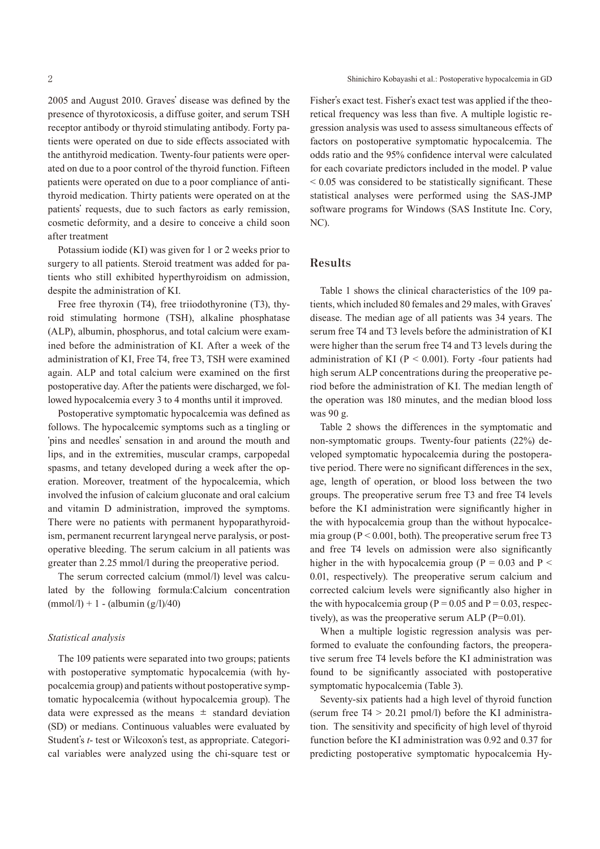2005 and August 2010. Graves' disease was defined by the presence of thyrotoxicosis, a diffuse goiter, and serum TSH receptor antibody or thyroid stimulating antibody. Forty patients were operated on due to side effects associated with the antithyroid medication. Twenty-four patients were operated on due to a poor control of the thyroid function. Fifteen patients were operated on due to a poor compliance of antithyroid medication. Thirty patients were operated on at the patients' requests, due to such factors as early remission, cosmetic deformity, and a desire to conceive a child soon after treatment

Potassium iodide (KI) was given for 1 or 2 weeks prior to surgery to all patients. Steroid treatment was added for patients who still exhibited hyperthyroidism on admission, despite the administration of KI.

Free free thyroxin (T4), free triiodothyronine (T3), thyroid stimulating hormone (TSH), alkaline phosphatase (ALP), albumin, phosphorus, and total calcium were examined before the administration of KI. After a week of the administration of KI, Free T4, free T3, TSH were examined again. ALP and total calcium were examined on the first postoperative day. After the patients were discharged, we followed hypocalcemia every 3 to 4 months until it improved.

Postoperative symptomatic hypocalcemia was defined as follows. The hypocalcemic symptoms such as a tingling or ʻpins and needles' sensation in and around the mouth and lips, and in the extremities, muscular cramps, carpopedal spasms, and tetany developed during a week after the operation. Moreover, treatment of the hypocalcemia, which involved the infusion of calcium gluconate and oral calcium and vitamin D administration, improved the symptoms. There were no patients with permanent hypoparathyroidism, permanent recurrent laryngeal nerve paralysis, or postoperative bleeding. The serum calcium in all patients was greater than 2.25 mmol/l during the preoperative period.

The serum corrected calcium (mmol/l) level was calculated by the following formula:Calcium concentration  $(mmol/l) + 1 - (albumin (g/l)/40)$ 

#### *Statistical analysis*

The 109 patients were separated into two groups; patients with postoperative symptomatic hypocalcemia (with hypocalcemia group) and patients without postoperative symptomatic hypocalcemia (without hypocalcemia group). The data were expressed as the means  $\pm$  standard deviation (SD) or medians. Continuous valuables were evaluated by Student's *t*- test or Wilcoxon's test, as appropriate. Categorical variables were analyzed using the chi-square test or Fisher's exact test. Fisher's exact test was applied if the theoretical frequency was less than five. A multiple logistic regression analysis was used to assess simultaneous effects of factors on postoperative symptomatic hypocalcemia. The odds ratio and the 95% confidence interval were calculated for each covariate predictors included in the model. P value < 0.05 was considered to be statistically significant. These statistical analyses were performed using the SAS-JMP software programs for Windows (SAS Institute Inc. Cory, NC).

### **Results**

Table 1 shows the clinical characteristics of the 109 patients, which included 80 females and 29 males, with Graves' disease. The median age of all patients was 34 years. The serum free T4 and T3 levels before the administration of KI were higher than the serum free T4 and T3 levels during the administration of KI ( $P < 0.001$ ). Forty -four patients had high serum ALP concentrations during the preoperative period before the administration of KI. The median length of the operation was 180 minutes, and the median blood loss was 90 g.

Table 2 shows the differences in the symptomatic and non-symptomatic groups. Twenty-four patients (22%) developed symptomatic hypocalcemia during the postoperative period. There were no significant differences in the sex, age, length of operation, or blood loss between the two groups. The preoperative serum free T3 and free T4 levels before the KI administration were significantly higher in the with hypocalcemia group than the without hypocalcemia group ( $P < 0.001$ , both). The preoperative serum free T3 and free T4 levels on admission were also significantly higher in the with hypocalcemia group ( $P = 0.03$  and  $P <$ 0.01, respectively). The preoperative serum calcium and corrected calcium levels were significantly also higher in the with hypocalcemia group ( $P = 0.05$  and  $P = 0.03$ , respectively), as was the preoperative serum ALP (P=0.01).

When a multiple logistic regression analysis was performed to evaluate the confounding factors, the preoperative serum free T4 levels before the KI administration was found to be significantly associated with postoperative symptomatic hypocalcemia (Table 3).

Seventy-six patients had a high level of thyroid function (serum free  $T_1 > 20.21$  pmol/l) before the KI administration. The sensitivity and specificity of high level of thyroid function before the KI administration was 0.92 and 0.37 for predicting postoperative symptomatic hypocalcemia Hy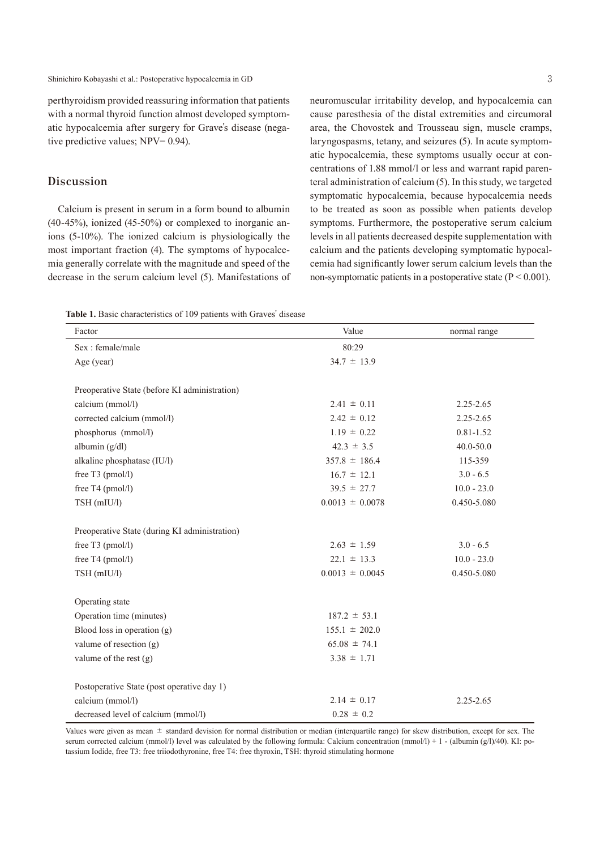perthyroidism provided reassuring information that patients with a normal thyroid function almost developed symptomatic hypocalcemia after surgery for Grave's disease (negative predictive values; NPV= 0.94).

# **Discussion**

Calcium is present in serum in a form bound to albumin (40-45%), ionized (45-50%) or complexed to inorganic anions (5-10%). The ionized calcium is physiologically the most important fraction (4). The symptoms of hypocalcemia generally correlate with the magnitude and speed of the decrease in the serum calcium level (5). Manifestations of

neuromuscular irritability develop, and hypocalcemia can cause paresthesia of the distal extremities and circumoral area, the Chovostek and Trousseau sign, muscle cramps, laryngospasms, tetany, and seizures (5). In acute symptomatic hypocalcemia, these symptoms usually occur at concentrations of 1.88 mmol/l or less and warrant rapid parenteral administration of calcium (5). In this study, we targeted symptomatic hypocalcemia, because hypocalcemia needs to be treated as soon as possible when patients develop symptoms. Furthermore, the postoperative serum calcium levels in all patients decreased despite supplementation with calcium and the patients developing symptomatic hypocalcemia had significantly lower serum calcium levels than the non-symptomatic patients in a postoperative state  $(P < 0.001)$ .

**Table 1.** Basic characteristics of 109 patients with Graves' disease

| Factor                                        | Value               | normal range  |  |
|-----------------------------------------------|---------------------|---------------|--|
| Sex: female/male                              | 80:29               |               |  |
| Age (year)                                    | $34.7 \pm 13.9$     |               |  |
| Preoperative State (before KI administration) |                     |               |  |
| calcium (mmol/l)                              | $2.41 \pm 0.11$     | $2.25 - 2.65$ |  |
| corrected calcium (mmol/l)                    | $2.42 \pm 0.12$     | 2.25-2.65     |  |
| phosphorus (mmol/l)                           | $1.19 \pm 0.22$     | $0.81 - 1.52$ |  |
| albumin $(g/dl)$                              | $42.3 \pm 3.5$      | $40.0 - 50.0$ |  |
| alkaline phosphatase (IU/l)                   | $357.8 \pm 186.4$   | 115-359       |  |
| free T3 (pmol/l)                              | $16.7 \pm 12.1$     | $3.0 - 6.5$   |  |
| free T4 (pmol/l)                              | $39.5 \pm 27.7$     | $10.0 - 23.0$ |  |
| TSH (mIU/l)                                   | $0.0013 \pm 0.0078$ | 0.450-5.080   |  |
| Preoperative State (during KI administration) |                     |               |  |
| free $T3$ (pmol/l)                            | $2.63 \pm 1.59$     | $3.0 - 6.5$   |  |
| free $T4$ (pmol/l)                            | $22.1 \pm 13.3$     | $10.0 - 23.0$ |  |
| TSH (mIU/l)                                   | $0.0013 \pm 0.0045$ | 0.450-5.080   |  |
| Operating state                               |                     |               |  |
| Operation time (minutes)                      | $187.2 \pm 53.1$    |               |  |
| Blood loss in operation $(g)$                 | $155.1 \pm 202.0$   |               |  |
| valume of resection $(g)$                     | $65.08 \pm 74.1$    |               |  |
| valume of the rest $(g)$                      | $3.38 \pm 1.71$     |               |  |
| Postoperative State (post operative day 1)    |                     |               |  |
| calcium (mmol/l)                              | $2.14 \pm 0.17$     | 2.25-2.65     |  |
| decreased level of calcium (mmol/l)           | $0.28 \pm 0.2$      |               |  |

Values were given as mean ± standard devision for normal distribution or median (interquartile range) for skew distribution, except for sex. The serum corrected calcium (mmol/l) level was calculated by the following formula: Calcium concentration (mmol/l) + 1 - (albumin (g/l)/40). KI: potassium Iodide, free T3: free triiodothyronine, free T4: free thyroxin, TSH: thyroid stimulating hormone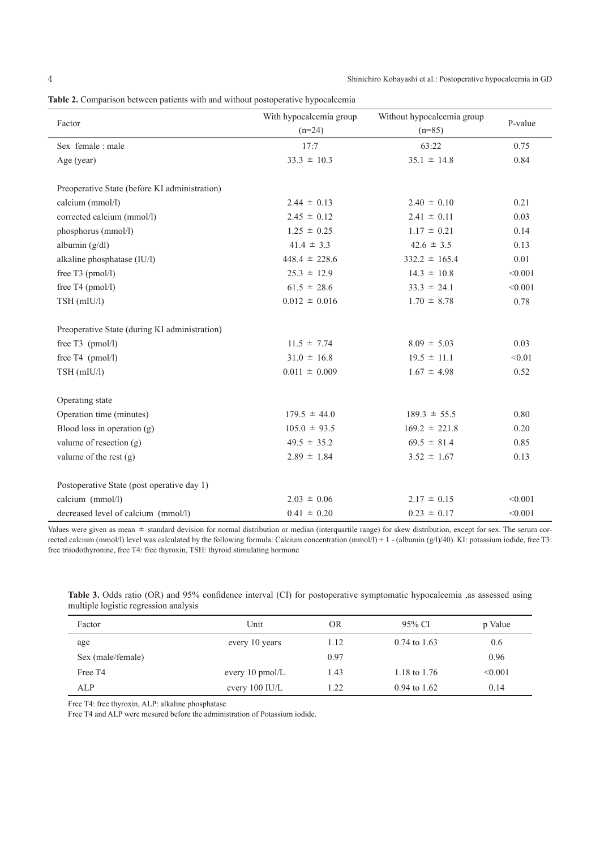4 Shinichiro Kobayashi et al.: Postoperative hypocalcemia in GD

| Table 2. Comparison between patients with and without postoperative hypocalcemia |  |  |  |  |  |  |
|----------------------------------------------------------------------------------|--|--|--|--|--|--|
|                                                                                  |  |  |  |  |  |  |

| Factor                                        | With hypocalcemia group<br>$(n=24)$ | Without hypocalcemia group<br>$(n=85)$ | P-value |  |
|-----------------------------------------------|-------------------------------------|----------------------------------------|---------|--|
| Sex female : male                             | 17:7                                | 63:22                                  | 0.75    |  |
| Age (year)                                    | $33.3 \pm 10.3$                     | $35.1 \pm 14.8$                        | 0.84    |  |
| Preoperative State (before KI administration) |                                     |                                        |         |  |
| calcium (mmol/l)                              | $2.44 \pm 0.13$                     | $2.40 \pm 0.10$                        | 0.21    |  |
| corrected calcium (mmol/l)                    | $2.45 \pm 0.12$                     | $2.41 \pm 0.11$                        | 0.03    |  |
| phosphorus (mmol/l)                           | $1.25 \pm 0.25$                     | $1.17 \pm 0.21$                        | 0.14    |  |
| albumin $(g/dl)$                              | $41.4 \pm 3.3$                      | $42.6 \pm 3.5$                         | 0.13    |  |
| alkaline phosphatase (IU/l)                   | $448.4 \pm 228.6$                   | $332.2 \pm 165.4$                      | 0.01    |  |
| free T3 (pmol/l)                              | $25.3 \pm 12.9$                     | $14.3 \pm 10.8$                        | < 0.001 |  |
| free T4 (pmol/l)                              | $61.5 \pm 28.6$                     | $33.3 \pm 24.1$                        | < 0.001 |  |
| TSH (mIU/l)                                   | $0.012 \pm 0.016$                   | $1.70 \pm 8.78$                        | 0.78    |  |
| Preoperative State (during KI administration) |                                     |                                        |         |  |
| free $T3$ (pmol/l)                            | $11.5 \pm 7.74$                     | $8.09 \pm 5.03$                        | 0.03    |  |
| free $T4$ (pmol/l)                            | $31.0 \pm 16.8$                     | $19.5 \pm 11.1$                        | < 0.01  |  |
| TSH (mIU/l)                                   | $0.011 \pm 0.009$                   | $1.67 \pm 4.98$                        | 0.52    |  |
| Operating state                               |                                     |                                        |         |  |
| Operation time (minutes)                      | $179.5 \pm 44.0$                    | $189.3 \pm 55.5$                       | 0.80    |  |
| Blood loss in operation (g)                   | $105.0 \pm 93.5$                    | $169.2 \pm 221.8$                      | 0.20    |  |
| valume of resection $(g)$                     | $49.5 \pm 35.2$                     | $69.5 \pm 81.4$                        | 0.85    |  |
| valume of the rest $(g)$                      | $2.89 \pm 1.84$                     | $3.52 \pm 1.67$                        | 0.13    |  |
| Postoperative State (post operative day 1)    |                                     |                                        |         |  |
| calcium (mmol/l)                              | $2.03 \pm 0.06$                     | $2.17 \pm 0.15$                        | < 0.001 |  |
| decreased level of calcium (mmol/l)           | $0.41 \pm 0.20$                     | $0.23 \pm 0.17$                        | < 0.001 |  |

Values were given as mean  $\pm$  standard devision for normal distribution or median (interquartile range) for skew distribution, except for sex. The serum corrected calcium (mmol/l) level was calculated by the following formula: Calcium concentration (mmol/l) + 1 - (albumin (g/l)/40). KI: potassium iodide, free T3: free triiodothyronine, free T4: free thyroxin, TSH: thyroid stimulating hormone

| Table 3. Odds ratio (OR) and 95% confidence interval (CI) for postoperative symptomatic hypocalcemia ,as assessed using |  |  |  |  |  |
|-------------------------------------------------------------------------------------------------------------------------|--|--|--|--|--|
| multiple logistic regression analysis                                                                                   |  |  |  |  |  |

| Factor            | Unit                      | <b>OR</b> | 95% CI         | p Value |
|-------------------|---------------------------|-----------|----------------|---------|
| age               | every 10 years            | 1.12      | $0.74$ to 1.63 | 0.6     |
| Sex (male/female) |                           | 0.97      |                | 0.96    |
| Free T4           | every $10 \text{ pmol/L}$ | 1.43      | 1.18 to 1.76   | < 0.001 |
| <b>ALP</b>        | every $100$ IU/L          | 1.22      | $0.94$ to 1.62 | 0.14    |

Free T4: free thyroxin, ALP: alkaline phosphatase

Free T4 and ALP were mesured before the administration of Potassium iodide.